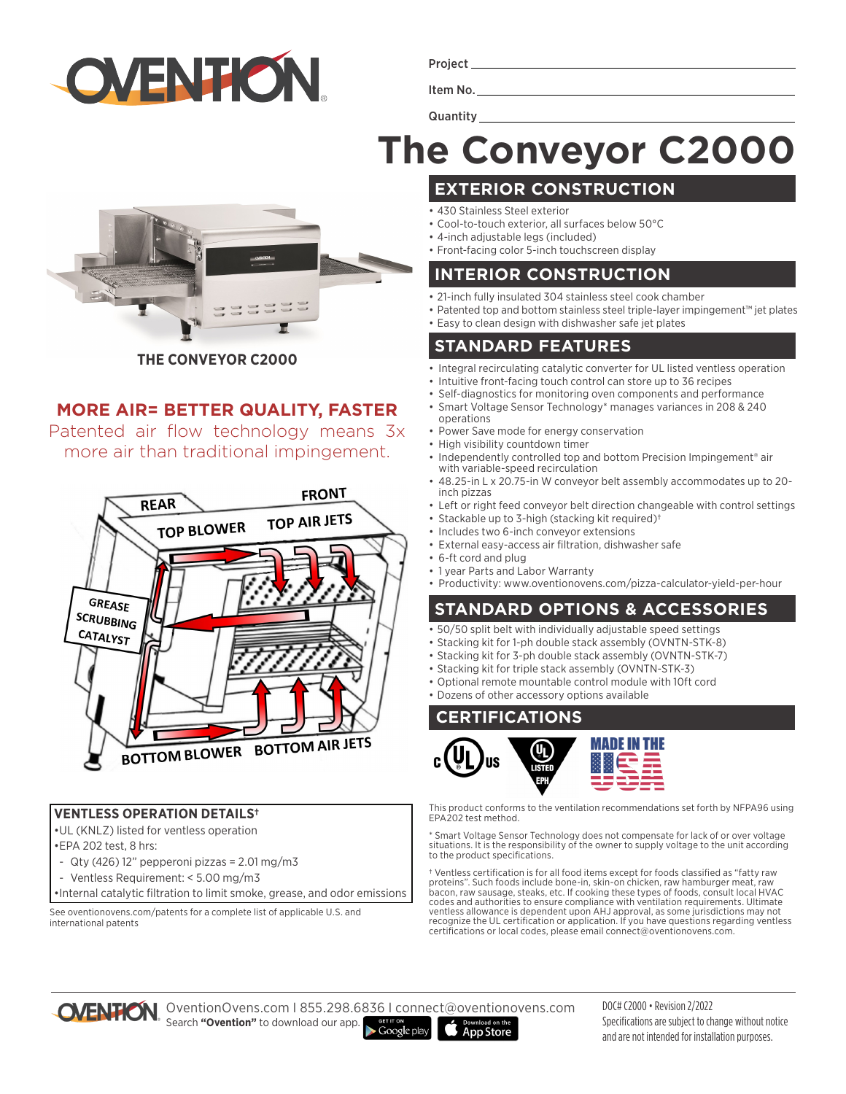

Project

Item No. **Quantity** 

# **The Conveyor C2000**

# **THE CONVEYOR C2000**

## **MORE AIR= BETTER QUALITY, FASTER**

Patented air flow technology means 3x more air than traditional impingement.



#### **VENTLESS OPERATION DETAILS†**

•UL (KNLZ) listed for ventless operation

- •EPA 202 test, 8 hrs:
- Qty (426) 12" pepperoni pizzas =  $2.01 \text{ mg/m}$ 3
- Ventless Requirement: < 5.00 mg/m3

•Internal catalytic filtration to limit smoke, grease, and odor emissions

See oventionovens.com/patents for a complete list of applicable U.S. and international patents

**EXTERIOR CONSTRUCTION**

- 430 Stainless Steel exterior
- Cool-to-touch exterior, all surfaces below 50°C
- 4-inch adjustable legs (included)
- Front-facing color 5-inch touchscreen display

#### **INTERIOR CONSTRUCTION**

- 21-inch fully insulated 304 stainless steel cook chamber
- Patented top and bottom stainless steel triple-layer impingement™ jet plates
- Easy to clean design with dishwasher safe jet plates

## **STANDARD FEATURES**

- Integral recirculating catalytic converter for UL listed ventless operation
- Intuitive front-facing touch control can store up to 36 recipes
- Self-diagnostics for monitoring oven components and performance
- Smart Voltage Sensor Technology\* manages variances in 208 & 240 operations
- Power Save mode for energy conservation
- High visibility countdown timer
- Independently controlled top and bottom Precision Impingement<sup>®</sup> air with variable-speed recirculation
- 48.25-in L x 20.75-in W conveyor belt assembly accommodates up to 20 inch pizzas
- Left or right feed conveyor belt direction changeable with control settings
- Stackable up to 3-high (stacking kit required)†
- Includes two 6-inch conveyor extensions
- External easy-access air filtration, dishwasher safe
- 6-ft cord and plug
- 1 year Parts and Labor Warranty
- Productivity: www.oventionovens.com/pizza-calculator-yield-per-hour

## **STANDARD OPTIONS & ACCESSORIES**

- 50/50 split belt with individually adjustable speed settings
- Stacking kit for 1-ph double stack assembly (OVNTN-STK-8)
- Stacking kit for 3-ph double stack assembly (OVNTN-STK-7)
- Stacking kit for triple stack assembly (OVNTN-STK-3)
- Optional remote mountable control module with 10ft cord
- Dozens of other accessory options available

#### **CERTIFICATIONS**



This product conforms to the ventilation recommendations set forth by NFPA96 using EPA202 test method.

\* Smart Voltage Sensor Technology does not compensate for lack of or over voltage situations. It is the responsibility of the owner to supply voltage to the unit according to the product specifications.

† Ventless certification is for all food items except for foods classified as "fatty raw proteins". Such foods include bone-in, skin-on chicken, raw hamburger meat, raw bacon, raw sausage, steaks, etc. If cooking these types of foods, consult local HVAC codes and authorities to ensure compliance with ventilation requirements. Ultimate ventless allowance is dependent upon AHJ approval, as some jurisdictions may not recognize the UL certification or application. If you have questions regarding ventless certifications or local codes, please email connect@oventionovens.com.



OventionOvens.com I 855.298.6836 I connect@oventionovens.com Search **"Ovention"** to download our app.  $\blacktriangleright$  Google play

DOC# C2000 • Revision 2/2022 Specifications are subject to change without notice and are not intended for installation purposes.

**App Store**